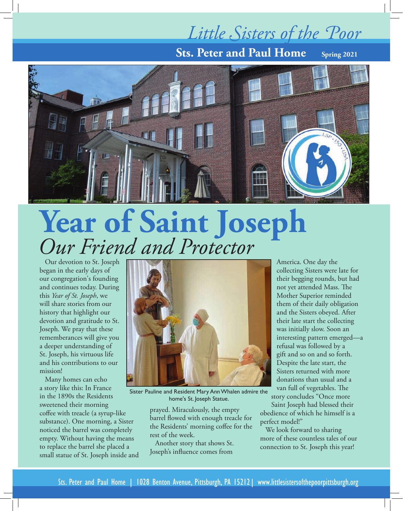## *Little Sisters of the Poor*

**Sts. Peter and Paul Home** Spring 2021



# **Year of Saint Joseph** *Our Friend and Protector*

Our devotion to St. Joseph began in the early days of our congregation's founding and continues today. During this *Year of St. Joseph*, we will share stories from our history that highlight our devotion and gratitude to St. Joseph. We pray that these rememberances will give you a deeper understanding of St. Joseph, his virtuous life and his contributions to our mission!

Many homes can echo a story like this: In France in the 1890s the Residents sweetened their morning coffee with treacle (a syrup-like substance). One morning, a Sister noticed the barrel was completely empty. Without having the means to replace the barrel she placed a small statue of St. Joseph inside and



Sister Pauline and Resident Mary Ann Whalen admire the home's St. Joseph Statue.

prayed. Miraculously, the empty barrel flowed with enough treacle for the Residents' morning coffee for the rest of the week.

Another story that shows St. Joseph's influence comes from

America. One day the collecting Sisters were late for their begging rounds, but had not yet attended Mass. The Mother Superior reminded them of their daily obligation and the Sisters obeyed. After their late start the collecting was initially slow. Soon an interesting pattern emerged—a refusal was followed by a gift and so on and so forth. Despite the late start, the Sisters returned with more donations than usual and a van full of vegetables. The story concludes "Once more

Saint Joseph had blessed their obedience of which he himself is a perfect model!"

We look forward to sharing more of these countless tales of our connection to St. Joseph this year!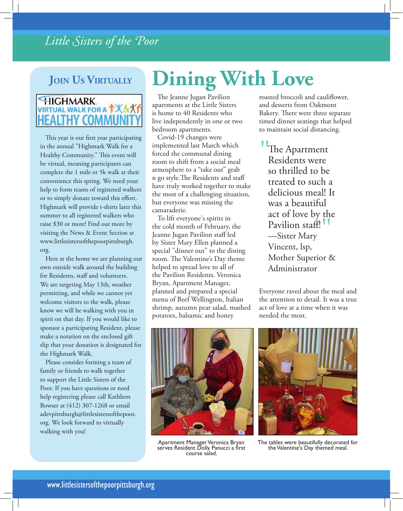## *Little Sisters of the Poor*

## **Join Us Virtually**

### **HIGHMARK IRTUAL WALK FOR A TX & XS LTHY COMMUN**

This year is our first year participating in the annual "Highmark Walk for a Healthy Community." This event will be virtual, meaning participants can complete the 1 mile or 5k walk at their convenience this spring. We need your help to form teams of registered walkers or to simply donate toward this effort. Highmark will provide t-shirts later this summer to all registered walkers who raise \$30 or more! Find out more by visiting the News & Event Section at www.littlesistersofthepoorpittsburgh. org.

Here at the home we are planning our own outside walk around the building for Residents, staff and volunteers. We are targeting May 13th, weather permitting, and while we cannot yet welcome visitors to the walk, please know we will be walking with you in spirit on that day. If you would like to sponsor a participating Resident, please make a notation on the enclosed gift slip that your donation is designated for the Highmark Walk.

Please consider forming a team of family or friends to walk together to support the Little Sisters of the Poor. If you have questions or need help registering please call Kathleen Bowser at (412) 307-1268 or email adevpittsburgh@littlesistersofthepoor. org. We look forward to virtually walking with you!

# **Dining With Love**

The Jeanne Jugan Pavilion apartments at the Little Sisters is home to 40 Residents who live independently in one or two bedroom apartments.

Covid-19 changes were implemented last March which forced the communal dining room to shift from a social meal atmosphere to a "take out" grab n go style.The Residents and staff have truly worked together to make the most of a challenging situation, but everyone was missing the camaraderie.

To lift everyone's spirits in the cold month of February, the Jeanne Jugan Pavilion staff led by Sister Mary Ellen planned a special "dinner out" to the dining room. The Valentine's Day theme helped to spread love to all of the Pavilion Residents. Veronica Bryan, Apartment Manager, planned and prepared a special menu of Beef Wellington, Italian shrimp, autumn pear salad, mashed potatoes, balsamic and honey

roasted broccoli and cauliflower, and desserts from Oakmont Bakery. There were three separate timed dinner seatings that helped to maintain social distancing.

"The Apartment Residents were so thrilled to be treated to such a delicious meal! It was a beautiful act of love by the Pavilion staff! *"*<br>—Sister Mary<br>Vincent, len —Sister Mary Vincent, lsp, Mother Superior & Administrator

Everyone raved about the meal and the attention to detail. It was a true act of love at a time when it was needed the most.



Apartment Manager Veronica Bryan serves Resident Dolly Panucci a first course salad.



The tables were beautifully decorated for the Valentine's Day themed meal.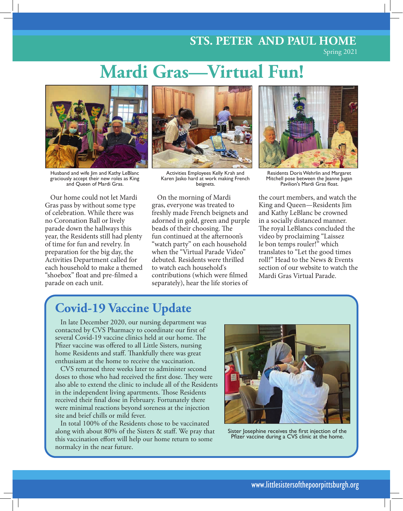## **STS. PETER AND PAUL HOME**

Spring 2021

## **Mardi Gras—Virtual Fun!**



Husband and wife Jim and Kathy LeBlanc graciously accept their new roles as King and Queen of Mardi Gras.

Our home could not let Mardi Gras pass by without some type of celebration. While there was no Coronation Ball or lively parade down the hallways this year, the Residents still had plenty of time for fun and revelry. In preparation for the big day, the Activities Department called for each household to make a themed "shoebox" float and pre-filmed a parade on each unit.



Activities Employees Kelly Krah and Karen Jasko hard at work making French beignets.

On the morning of Mardi gras, everyone was treated to freshly made French beignets and adorned in gold, green and purple beads of their choosing. The fun continued at the afternoon's "watch party" on each household when the "Virtual Parade Video" debuted. Residents were thrilled to watch each household's contributions (which were filmed separately), hear the life stories of



Residents Doris Wehrlin and Margaret Mitchell pose between the Jeanne Jugan Pavilion's Mardi Gras float.

the court members, and watch the King and Queen—Residents Jim and Kathy LeBlanc be crowned in a socially distanced manner. The royal LeBlancs concluded the video by proclaiming "Laissez le bon temps rouler!" which translates to "Let the good times roll!" Head to the News & Events section of our website to watch the Mardi Gras Virtual Parade.

## **Covid-19 Vaccine Update**

In late December 2020, our nursing department was contacted by CVS Pharmacy to coordinate our first of several Covid-19 vaccine clinics held at our home. The Pfizer vaccine was offered to all Little Sisters, nursing home Residents and staff. Thankfully there was great enthusiasm at the home to receive the vaccination.

CVS returned three weeks later to administer second doses to those who had received the first dose. They were also able to extend the clinic to include all of the Residents in the independent living apartments. Those Residents received their final dose in February. Fortunately there were minimal reactions beyond soreness at the injection site and brief chills or mild fever.

In total 100% of the Residents chose to be vaccinated along with about 80% of the Sisters & staff. We pray that this vaccination effort will help our home return to some normalcy in the near future.



Sister Josephine receives the first injection of the Pfizer vaccine during a CVS clinic at the home.